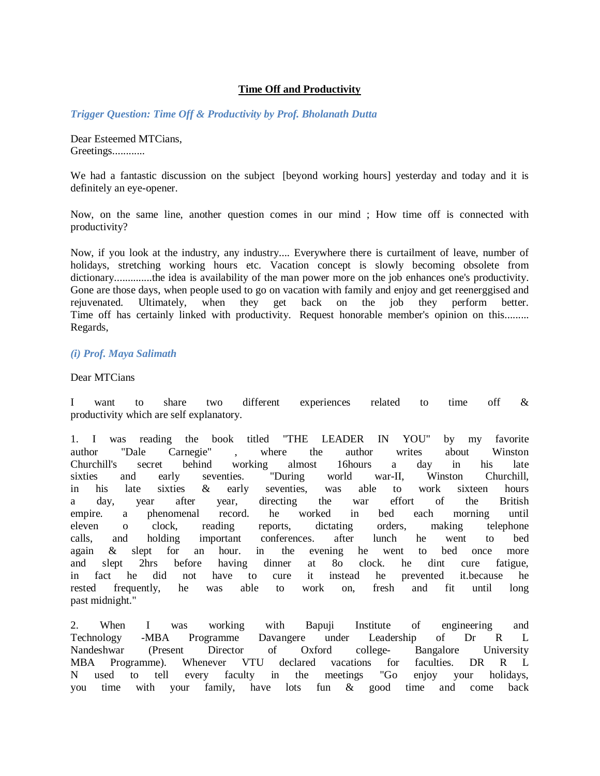# **Time Off and Productivity**

*Trigger Question: Time Off & Productivity by Prof. Bholanath Dutta*

Dear Esteemed MTCians, Greetings............

We had a fantastic discussion on the subject [beyond working hours] yesterday and today and it is definitely an eye-opener.

Now, on the same line, another question comes in our mind ; How time off is connected with productivity?

Now, if you look at the industry, any industry.... Everywhere there is curtailment of leave, number of holidays, stretching working hours etc. Vacation concept is slowly becoming obsolete from dictionary..............the idea is availability of the man power more on the job enhances one's productivity. Gone are those days, when people used to go on vacation with family and enjoy and get reenerggised and rejuvenated. Ultimately, when they get back on the job they perform better. Time off has certainly linked with productivity. Request honorable member's opinion on this......... Regards,

# *(i) Prof. Maya Salimath*

### Dear MTCians

I want to share two different experiences related to time off & productivity which are self explanatory.

1. I was reading the book titled "THE LEADER IN YOU" by my favorite author "Dale Carnegie" , where the author writes about Winston Churchill's secret behind working almost 16hours a day in his late sixties and early seventies. "During world war-II, Winston Churchill, in his late sixties & early seventies, was able to work sixteen hours a day, year after year, directing the war effort of the British empire. a phenomenal record. he worked in bed each morning until eleven o clock, reading reports, dictating orders, making telephone calls, and holding important conferences. after lunch he went to bed again & slept for an hour. in the evening he went to bed once more and slept 2hrs before having dinner at 8o clock. he dint cure fatigue, in fact he did not have to cure it instead he prevented it.because he rested frequently, he was able to work on, fresh and fit until long past midnight."

2. When I was working with Bapuji Institute of engineering and Technology -MBA Programme Davangere under Leadership of Dr R L Nandeshwar (Present Director of Oxford college- Bangalore University MBA Programme). Whenever VTU declared vacations for faculties. DR R L N used to tell every faculty in the meetings "Go enjoy your holidays, you time with your family, have lots fun & good time and come back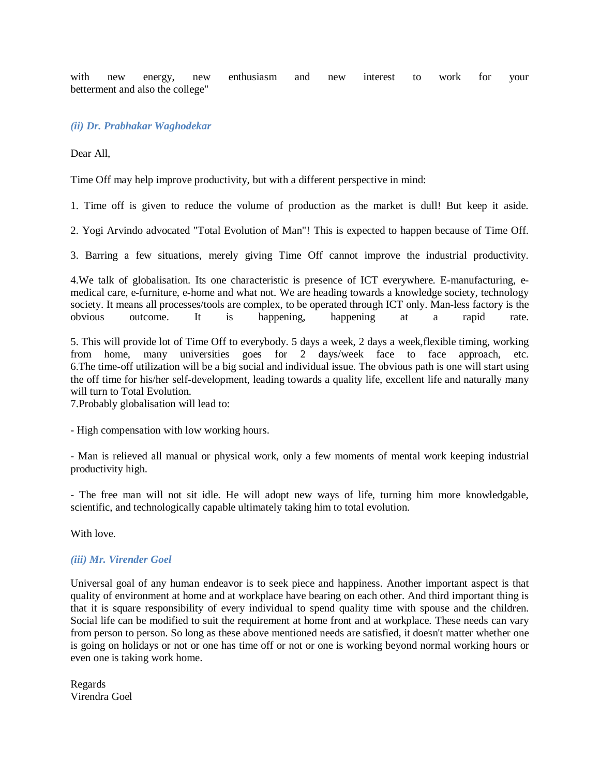with new energy, new enthusiasm and new interest to work for your betterment and also the college"

# *(ii) Dr. Prabhakar Waghodekar*

Dear All,

Time Off may help improve productivity, but with a different perspective in mind:

1. Time off is given to reduce the volume of production as the market is dull! But keep it aside.

2. Yogi Arvindo advocated "Total Evolution of Man"! This is expected to happen because of Time Off.

3. Barring a few situations, merely giving Time Off cannot improve the industrial productivity.

4.We talk of globalisation. Its one characteristic is presence of ICT everywhere. E-manufacturing, emedical care, e-furniture, e-home and what not. We are heading towards a knowledge society, technology society. It means all processes/tools are complex, to be operated through ICT only. Man-less factory is the obvious outcome. It is happening, happening at a rapid rate.

5. This will provide lot of Time Off to everybody. 5 days a week, 2 days a week,flexible timing, working from home, many universities goes for 2 days/week face to face approach, 6.The time-off utilization will be a big social and individual issue. The obvious path is one will start using the off time for his/her self-development, leading towards a quality life, excellent life and naturally many will turn to Total Evolution.

7.Probably globalisation will lead to:

- High compensation with low working hours.

- Man is relieved all manual or physical work, only a few moments of mental work keeping industrial productivity high.

- The free man will not sit idle. He will adopt new ways of life, turning him more knowledgable, scientific, and technologically capable ultimately taking him to total evolution.

With love.

#### *(iii) Mr. Virender Goel*

Universal goal of any human endeavor is to seek piece and happiness. Another important aspect is that quality of environment at home and at workplace have bearing on each other. And third important thing is that it is square responsibility of every individual to spend quality time with spouse and the children. Social life can be modified to suit the requirement at home front and at workplace. These needs can vary from person to person. So long as these above mentioned needs are satisfied, it doesn't matter whether one is going on holidays or not or one has time off or not or one is working beyond normal working hours or even one is taking work home.

Regards Virendra Goel